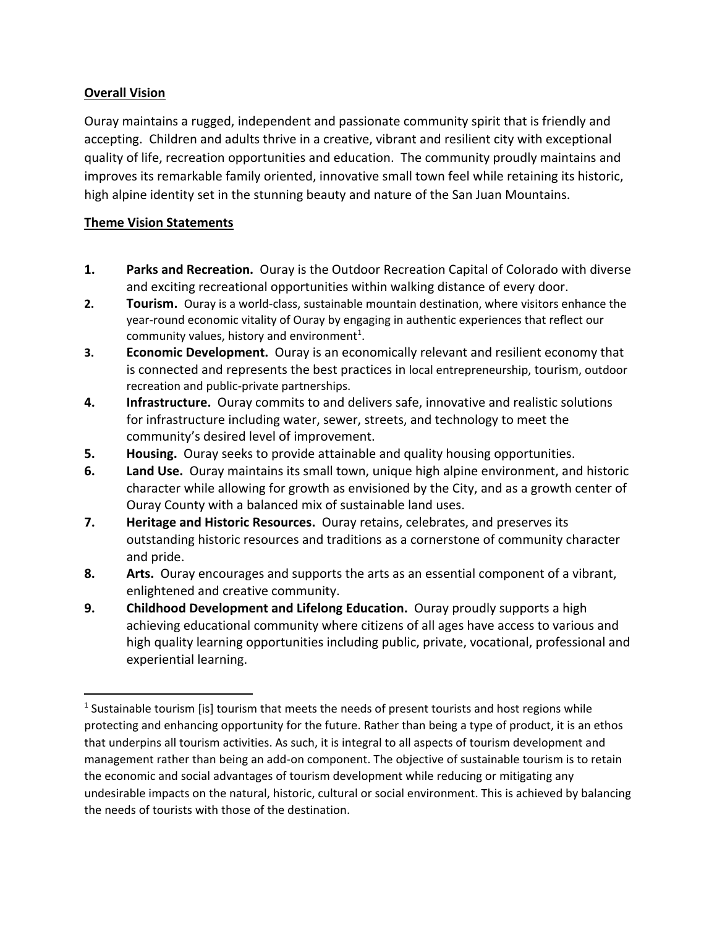## **Overall Vision**

 $\overline{a}$ 

Ouray maintains a rugged, independent and passionate community spirit that is friendly and accepting. Children and adults thrive in a creative, vibrant and resilient city with exceptional quality of life, recreation opportunities and education. The community proudly maintains and improves its remarkable family oriented, innovative small town feel while retaining its historic, high alpine identity set in the stunning beauty and nature of the San Juan Mountains.

## **Theme Vision Statements**

- **1. Parks and Recreation.** Ouray is the Outdoor Recreation Capital of Colorado with diverse and exciting recreational opportunities within walking distance of every door.
- **2. Tourism.** Ouray is a world-class, sustainable mountain destination, where visitors enhance the year-round economic vitality of Ouray by engaging in authentic experiences that reflect our community values, history and environment<sup>1</sup>.
- **3. Economic Development.** Ouray is an economically relevant and resilient economy that is connected and represents the best practices in local entrepreneurship, tourism, outdoor recreation and public-private partnerships.
- **4. Infrastructure.** Ouray commits to and delivers safe, innovative and realistic solutions for infrastructure including water, sewer, streets, and technology to meet the community's desired level of improvement.
- **5. Housing.** Ouray seeks to provide attainable and quality housing opportunities.
- **6. Land Use.** Ouray maintains its small town, unique high alpine environment, and historic character while allowing for growth as envisioned by the City, and as a growth center of Ouray County with a balanced mix of sustainable land uses.
- **7. Heritage and Historic Resources.** Ouray retains, celebrates, and preserves its outstanding historic resources and traditions as a cornerstone of community character and pride.
- **8. Arts.** Ouray encourages and supports the arts as an essential component of a vibrant, enlightened and creative community.
- **9. Childhood Development and Lifelong Education.** Ouray proudly supports a high achieving educational community where citizens of all ages have access to various and high quality learning opportunities including public, private, vocational, professional and experiential learning.

<sup>&</sup>lt;sup>1</sup> Sustainable tourism [is] tourism that meets the needs of present tourists and host regions while protecting and enhancing opportunity for the future. Rather than being a type of product, it is an ethos that underpins all tourism activities. As such, it is integral to all aspects of tourism development and management rather than being an add-on component. The objective of sustainable tourism is to retain the economic and social advantages of tourism development while reducing or mitigating any undesirable impacts on the natural, historic, cultural or social environment. This is achieved by balancing the needs of tourists with those of the destination.